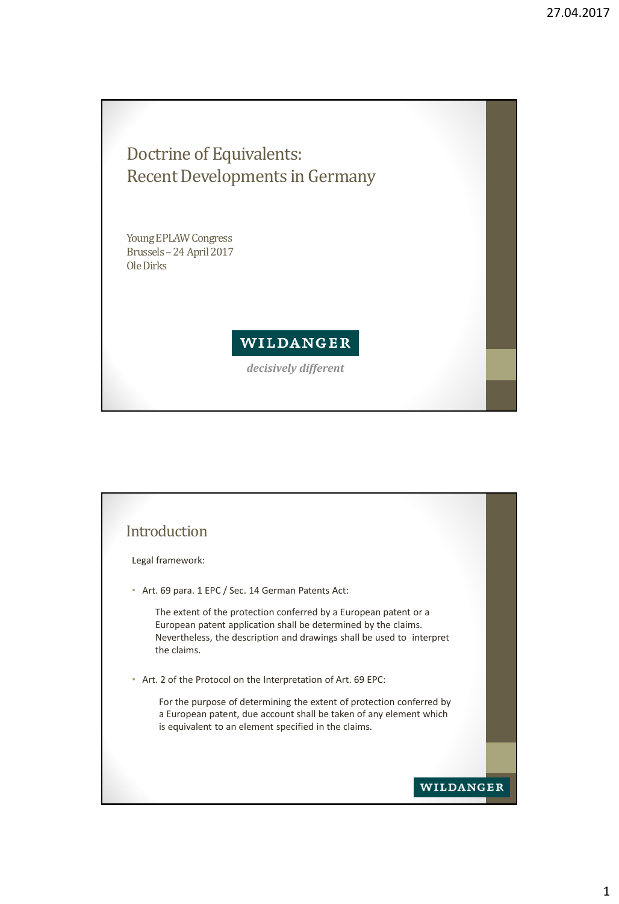## Doctrine of Equivalents: Recent Developments in Germany

Young EPLAW Congress Brussels–24 April 2017 Ole Dirks

## WILDANGER

*decisively different*

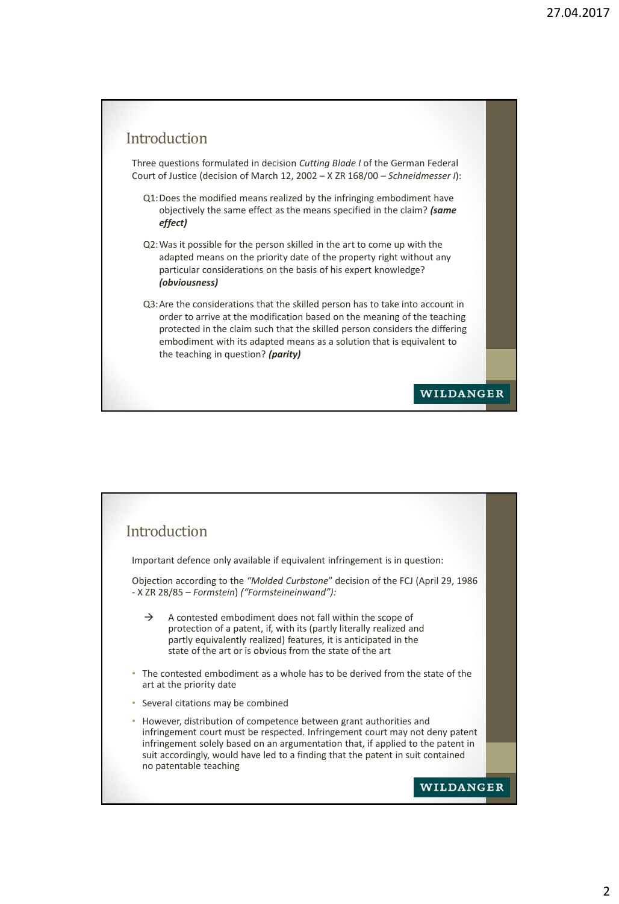## Introduction

Three questions formulated in decision *Cutting Blade I* of the German Federal Court of Justice (decision of March 12, 2002 – X ZR 168/00 – *Schneidmesser I*):

- Q1:Does the modified means realized by the infringing embodiment have objectively the same effect as the means specified in the claim? *(same effect)*
- Q2:Was it possible for the person skilled in the art to come up with the adapted means on the priority date of the property right without any particular considerations on the basis of his expert knowledge? *(obviousness)*
- Q3:Are the considerations that the skilled person has to take into account in order to arrive at the modification based on the meaning of the teaching protected in the claim such that the skilled person considers the differing embodiment with its adapted means as a solution that is equivalent to the teaching in question? *(parity)*

**WILDANGER** 

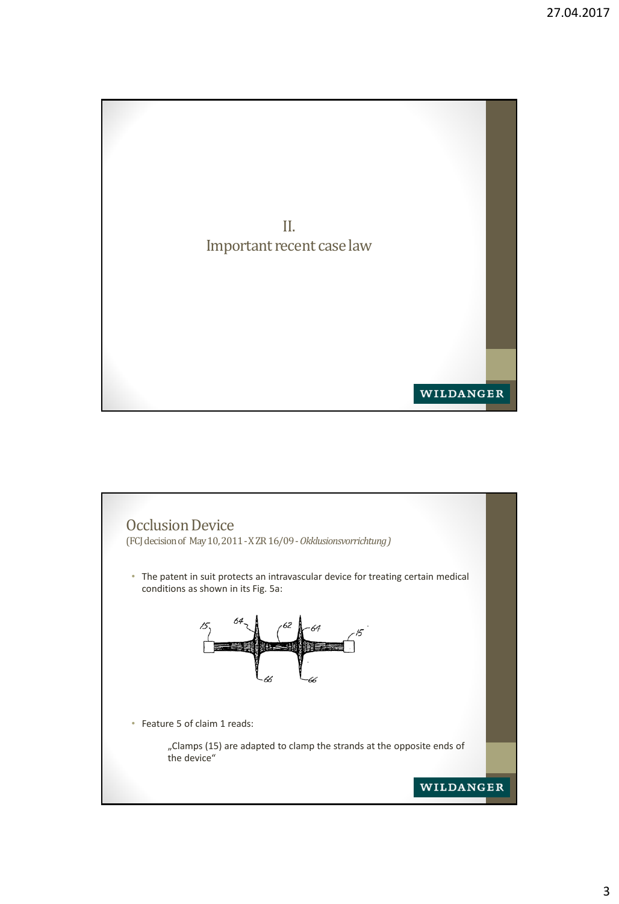

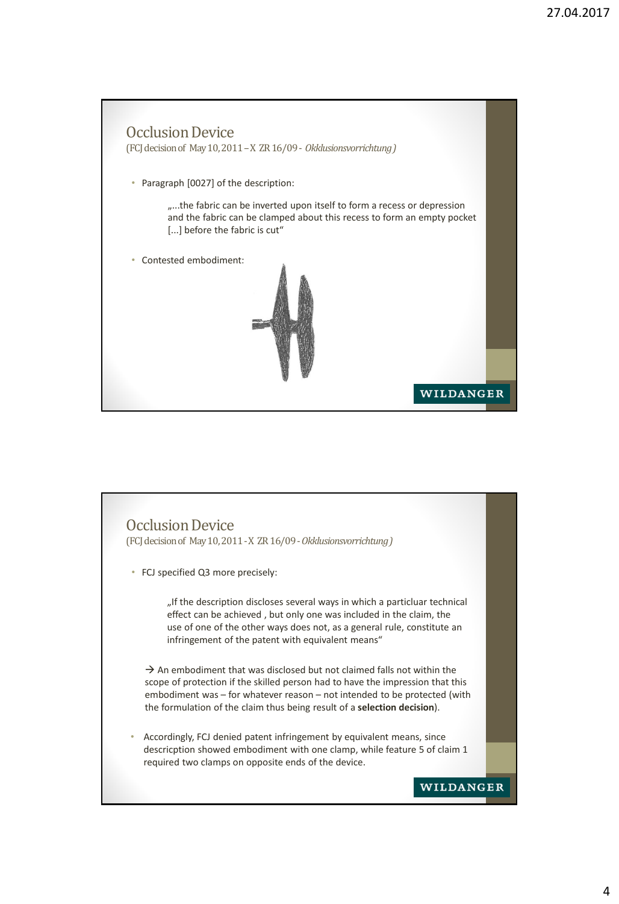

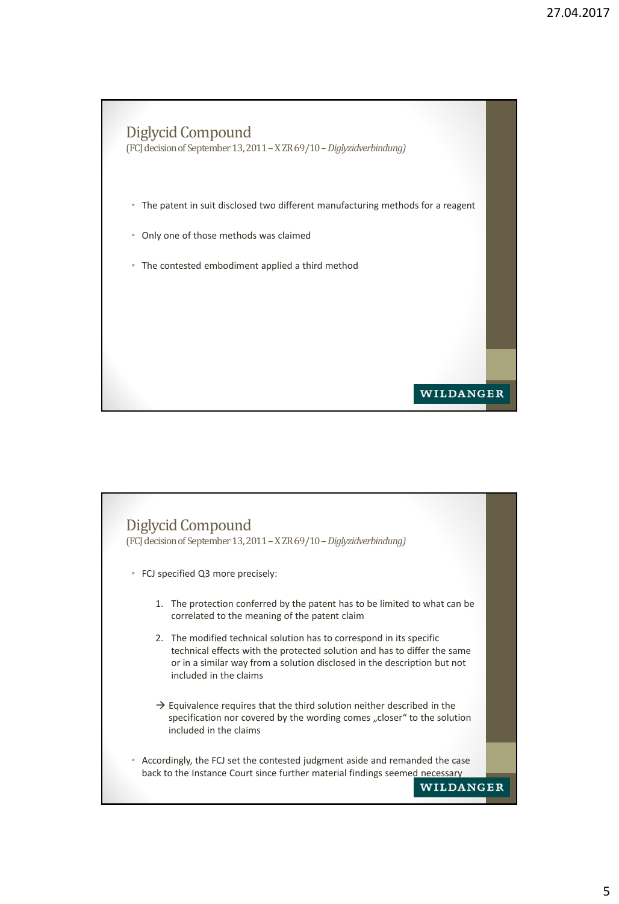

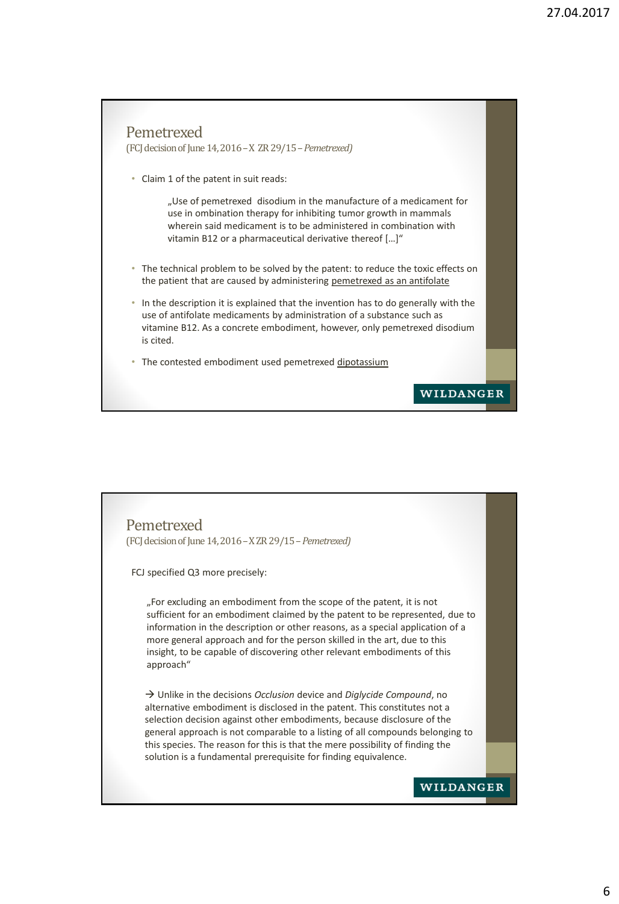

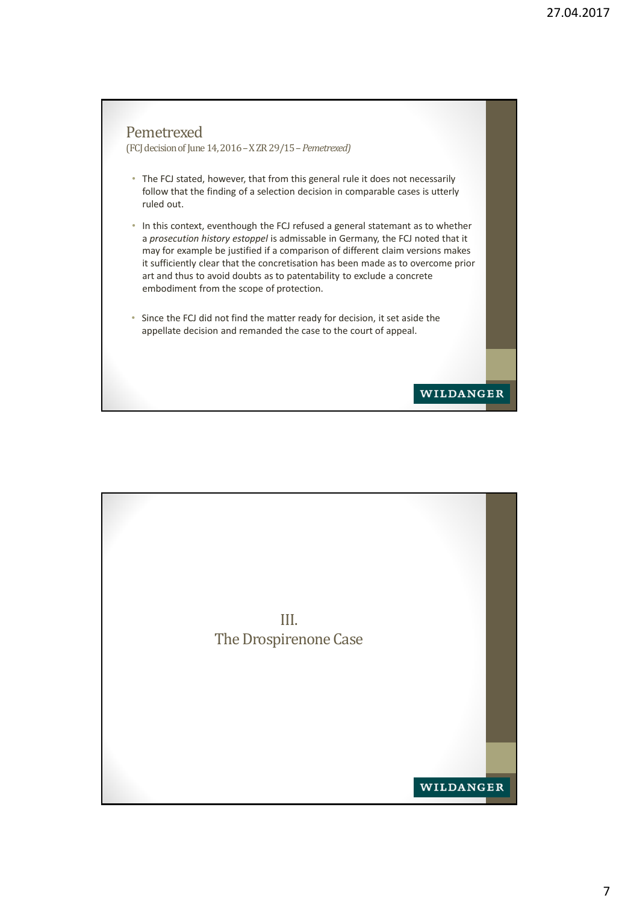

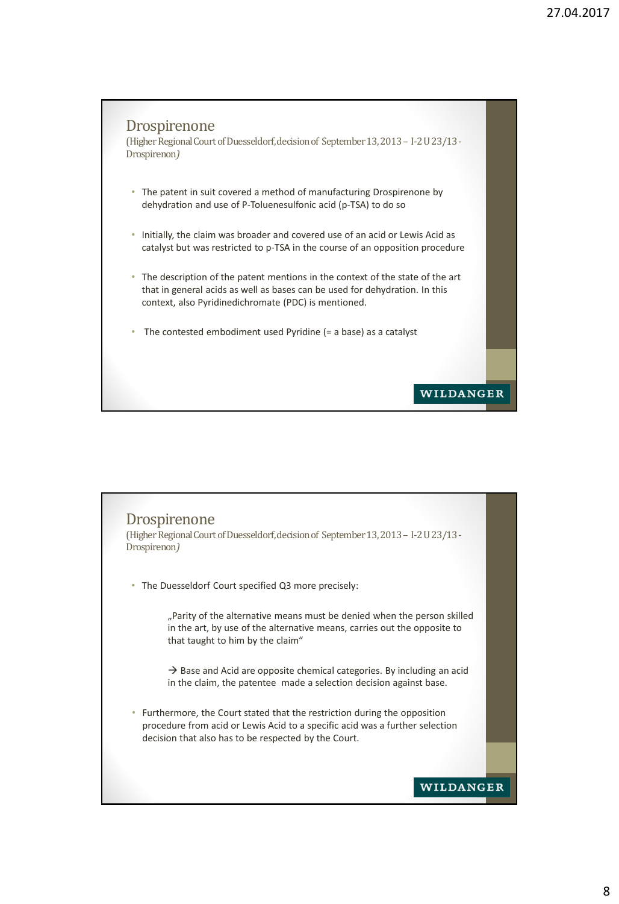

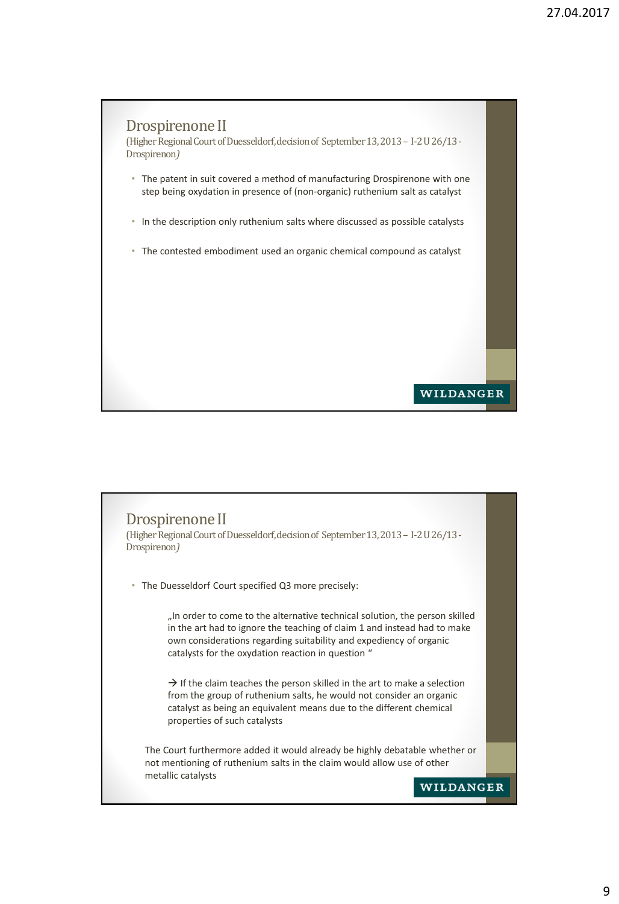